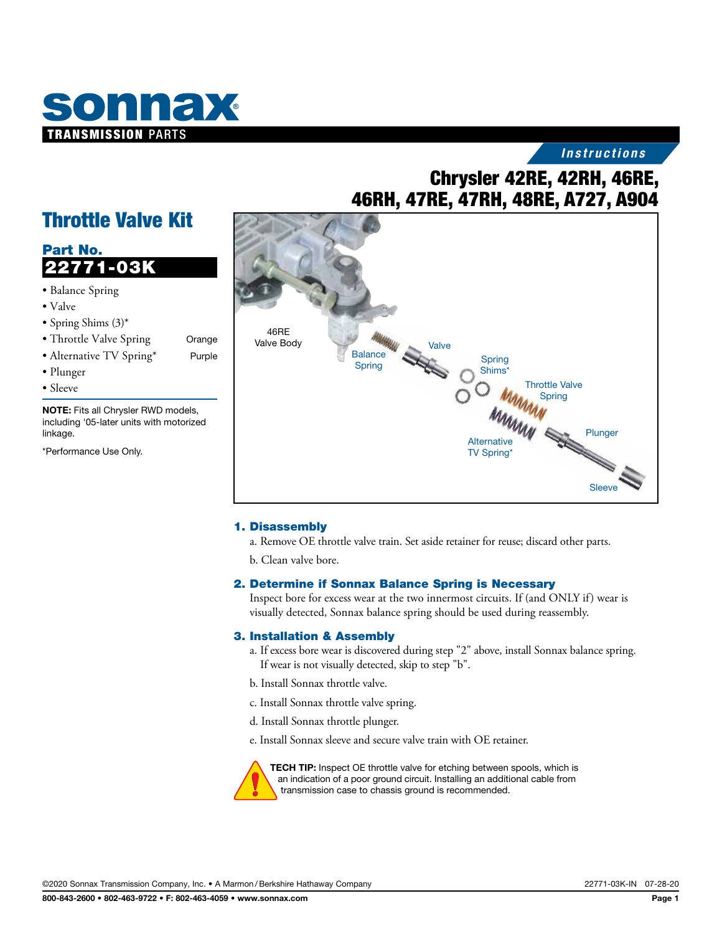

## *Instructions*

# Chrysler 42RE, 42RH, 46RE, 46RH, 47RE, 47RH, 48RE, A727, A904

# Throttle Valve Kit

# Part No. 22771-03K

- Balance Spring
- Valve
- Spring Shims (3)\*
- Throttle Valve Spring Orange
- Alternative TV Spring\* Purple
- Plunger
- Sleeve

NOTE: Fits all Chrysler RWD models, including '05-later units with motorized linkage.

\*Performance Use Only.



#### 1. Disassembly

- a. Remove OE throttle valve train. Set aside retainer for reuse; discard other parts.
- b. Clean valve bore.

#### 2. Determine if Sonnax Balance Spring is Necessary

Inspect bore for excess wear at the two innermost circuits. If (and ONLY if) wear is visually detected, Sonnax balance spring should be used during reassembly.

#### 3. Installation & Assembly

- a. If excess bore wear is discovered during step "2" above, install Sonnax balance spring. If wear is not visually detected, skip to step "b".
- b. Install Sonnax throttle valve.
- c. Install Sonnax throttle valve spring.
- d. Install Sonnax throttle plunger.

e. Install Sonnax sleeve and secure valve train with OE retainer.



TECH TIP: Inspect OE throttle valve for etching between spools, which is an indication of a poor ground circuit. Installing an additional cable from transmission case to chassis ground is recommended.